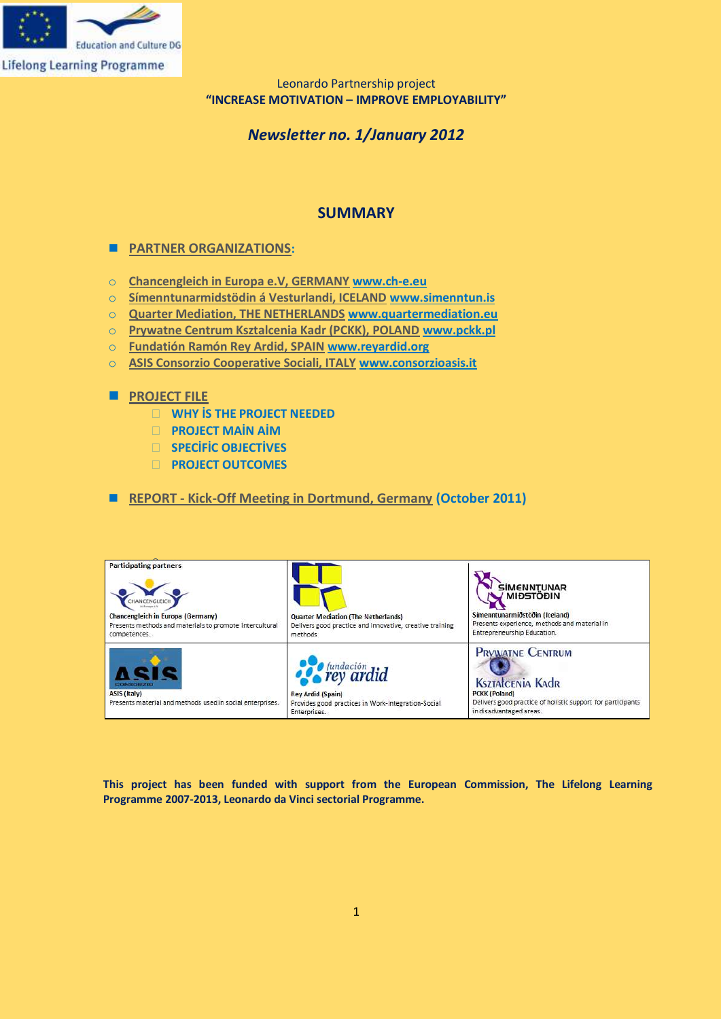

# *Newsletter no. 1/January 2012*

## **SUMMARY**

- **[PARTNER ORGANIZATIONS](Newsletter1_QMED_PARTNER%20ORGANIZATIONS.pdf):**
- o **[Chancengleich in Europa e.V, GERMANY](Newsletter1_QMED_DE.pdf) [www.ch-e.eu](http://www.ch-e.eu/)**
- o **[Símenntunarmidstödin á Vesturlandi, ICELAND](Newsletter1_QMED_IC.pdf) [www.simenntun.is](http://www.simenntun.is/)**
- o **[Quarter Mediation, THE NETHERLANDS](Newsletter1_QMED_NL.pdf) [www.quartermediation.eu](http://www.quartermediation.eu/)**
- o **[Prywatne Centrum Ksztalcenia Kadr \(PCKK\), POLAND](Newsletter1_QMED_PL.pdf) [www.pckk.pl](http://www.pckk.pl/)**
- o **[Fundatión Ramón Rey Ardid, SPAIN](Newsletter1_QMED_ES.pdf) [www.reyardid.org](http://www.reyardid.org/)**
- o **[ASIS Consorzio Cooperative Sociali, ITALY](Newsletter1_QMED_IT.pdf) [www.consorzioasis.it](http://www.consorzioasis.it/)**
- **[PROJECT FILE](Newsletter1_QMED_PROJECT%20FILE.pdf)** 
	- **WHY İS THE PROJECT NEEDED**
	- **PROJECT MAİN AİM**
	- **SPECİFİC OBJECTİVES**
	- **PROJECT OUTCOMES**
- **REPORT [Kick-Off Meeting in Dortmund, Germany](Newsletter1_QMED_REPORT.pdf) (October 2011)**



**This project has been funded with support from the European Commission, The Lifelong Learning Programme 2007-2013, Leonardo da Vinci sectorial Programme.**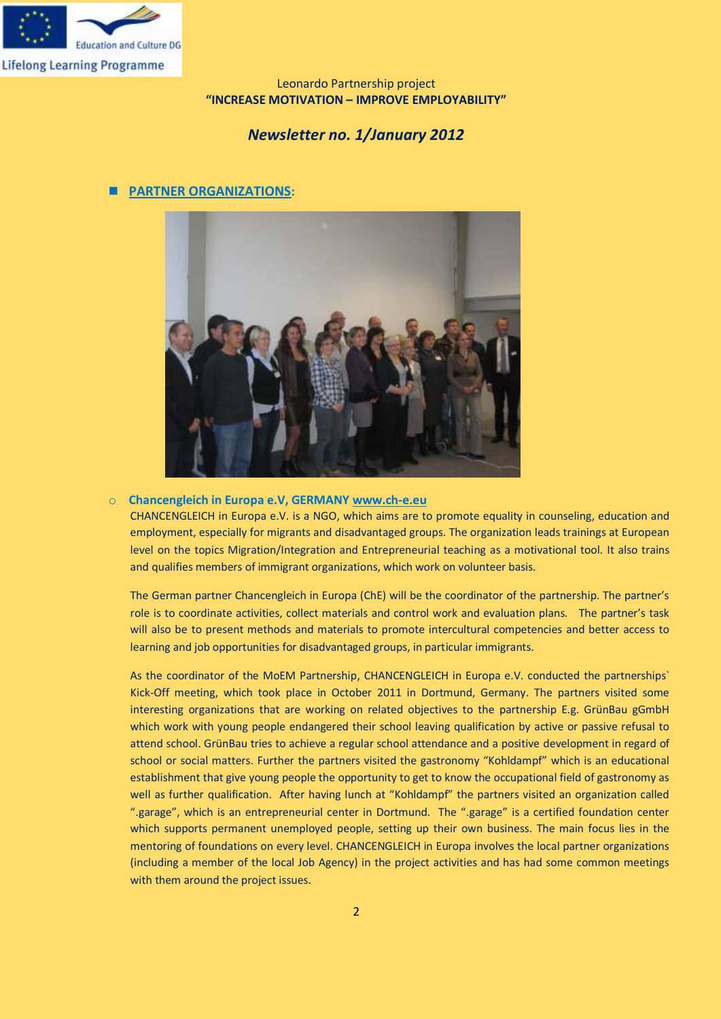

## *Newsletter no. 1/January 2012*

## **PARTNER ORGANIZATIONS:**



#### o **Chancengleich in Europa e.V, GERMANY [www.ch-e.eu](http://www.ch-e.eu/)**

CHANCENGLEICH in Europa e.V. is a NGO, which aims are to promote equality in counseling, education and employment, especially for migrants and disadvantaged groups. The organization leads trainings at European level on the topics Migration/Integration and Entrepreneurial teaching as a motivational tool. It also trains and qualifies members of immigrant organizations, which work on volunteer basis.

The German partner Chancengleich in Europa (ChE) will be the coordinator of the partnership. The partner's role is to coordinate activities, collect materials and control work and evaluation plans. The partner's task will also be to present methods and materials to promote intercultural competencies and better access to learning and job opportunities for disadvantaged groups, in particular immigrants.

As the coordinator of the MoEM Partnership, CHANCENGLEICH in Europa e.V. conducted the partnerships` Kick-Off meeting, which took place in October 2011 in Dortmund, Germany. The partners visited some interesting organizations that are working on related objectives to the partnership E.g. GrünBau gGmbH which work with young people endangered their school leaving qualification by active or passive refusal to attend school. GrünBau tries to achieve a regular school attendance and a positive development in regard of school or social matters. Further the partners visited the gastronomy "Kohldampf" which is an educational establishment that give young people the opportunity to get to know the occupational field of gastronomy as well as further qualification. After having lunch at "Kohldampf" the partners visited an organization called ".garage", which is an entrepreneurial center in Dortmund. The ".garage" is a certified foundation center which supports permanent unemployed people, setting up their own business. The main focus lies in the mentoring of foundations on every level. CHANCENGLEICH in Europa involves the local partner organizations (including a member of the local Job Agency) in the project activities and has had some common meetings with them around the project issues.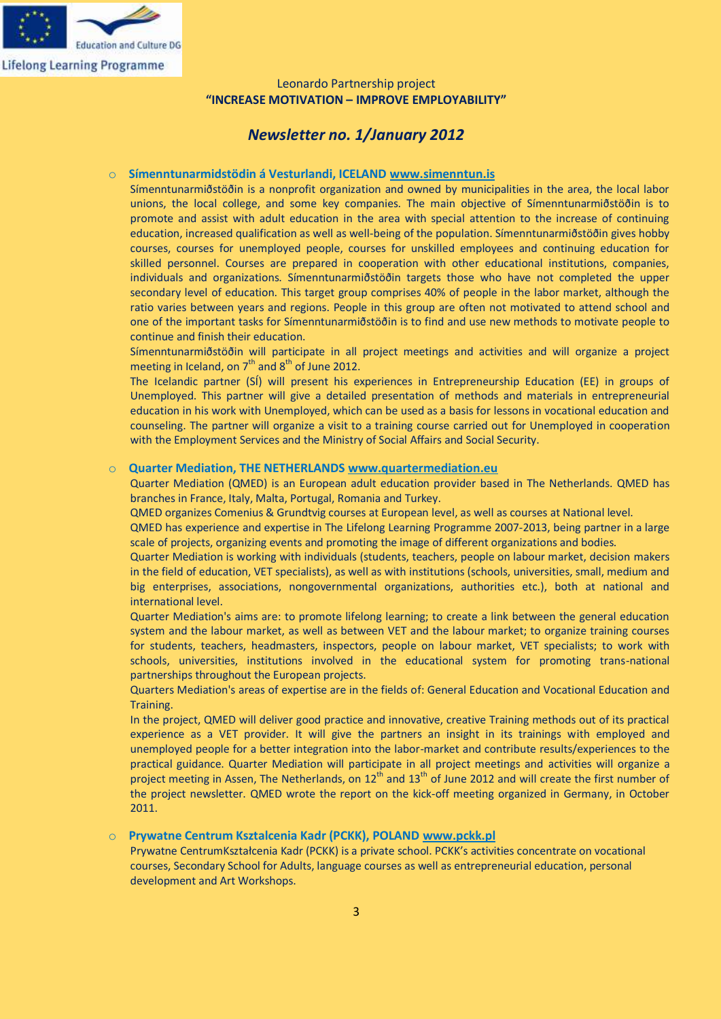

## *Newsletter no. 1/January 2012*

#### o **Símenntunarmidstödin á Vesturlandi, ICELAND [www.simenntun.is](http://www.simenntun.is/)**

Símenntunarmiðstöðin is a nonprofit organization and owned by municipalities in the area, the local labor unions, the local college, and some key companies. The main objective of Símenntunarmiðstöðin is to promote and assist with adult education in the area with special attention to the increase of continuing education, increased qualification as well as well-being of the population. Símenntunarmiðstöðin gives hobby courses, courses for unemployed people, courses for unskilled employees and continuing education for skilled personnel. Courses are prepared in cooperation with other educational institutions, companies, individuals and organizations. Símenntunarmiðstöðin targets those who have not completed the upper secondary level of education. This target group comprises 40% of people in the labor market, although the ratio varies between years and regions. People in this group are often not motivated to attend school and one of the important tasks for Símenntunarmiðstöðin is to find and use new methods to motivate people to continue and finish their education.

Símenntunarmiðstöðin will participate in all project meetings and activities and will organize a project meeting in Iceland, on  $7<sup>th</sup>$  and  $8<sup>th</sup>$  of June 2012.

The Icelandic partner (SÍ) will present his experiences in Entrepreneurship Education (EE) in groups of Unemployed. This partner will give a detailed presentation of methods and materials in entrepreneurial education in his work with Unemployed, which can be used as a basis for lessons in vocational education and counseling. The partner will organize a visit to a training course carried out for Unemployed in cooperation with the Employment Services and the Ministry of Social Affairs and Social Security.

#### o **Quarter Mediation, THE NETHERLAND[S www.quartermediation.eu](http://www.quartermediation.eu/)**

Quarter Mediation (QMED) is an European adult education provider based in The Netherlands. QMED has branches in France, Italy, Malta, Portugal, Romania and Turkey.

QMED organizes Comenius & Grundtvig courses at European level, as well as courses at National level.

QMED has experience and expertise in The Lifelong Learning Programme 2007-2013, being partner in a large scale of projects, organizing events and promoting the image of different organizations and bodies.

Quarter Mediation is working with individuals (students, teachers, people on labour market, decision makers in the field of education, VET specialists), as well as with institutions (schools, universities, small, medium and big enterprises, associations, nongovernmental organizations, authorities etc.), both at national and international level.

Quarter Mediation's aims are: to promote lifelong learning; to create a link between the general education system and the labour market, as well as between VET and the labour market; to organize training courses for students, teachers, headmasters, inspectors, people on labour market, VET specialists; to work with schools, universities, institutions involved in the educational system for promoting trans-national partnerships throughout the European projects.

Quarters Mediation's areas of expertise are in the fields of: General Education and Vocational Education and Training.

In the project, QMED will deliver good practice and innovative, creative Training methods out of its practical experience as a VET provider. It will give the partners an insight in its trainings with employed and unemployed people for a better integration into the labor-market and contribute results/experiences to the practical guidance. Quarter Mediation will participate in all project meetings and activities will organize a project meeting in Assen, The Netherlands, on 12<sup>th</sup> and 13<sup>th</sup> of June 2012 and will create the first number of the project newsletter. QMED wrote the report on the kick-off meeting organized in Germany, in October 2011.

## o **Prywatne Centrum Ksztalcenia Kadr (PCKK), POLAND [www.pckk.pl](http://www.pckk.pl/)**

Prywatne CentrumKształcenia Kadr (PCKK) is a private school. PCKK's activities concentrate on vocational courses, Secondary School for Adults, language courses as well as entrepreneurial education, personal development and Art Workshops.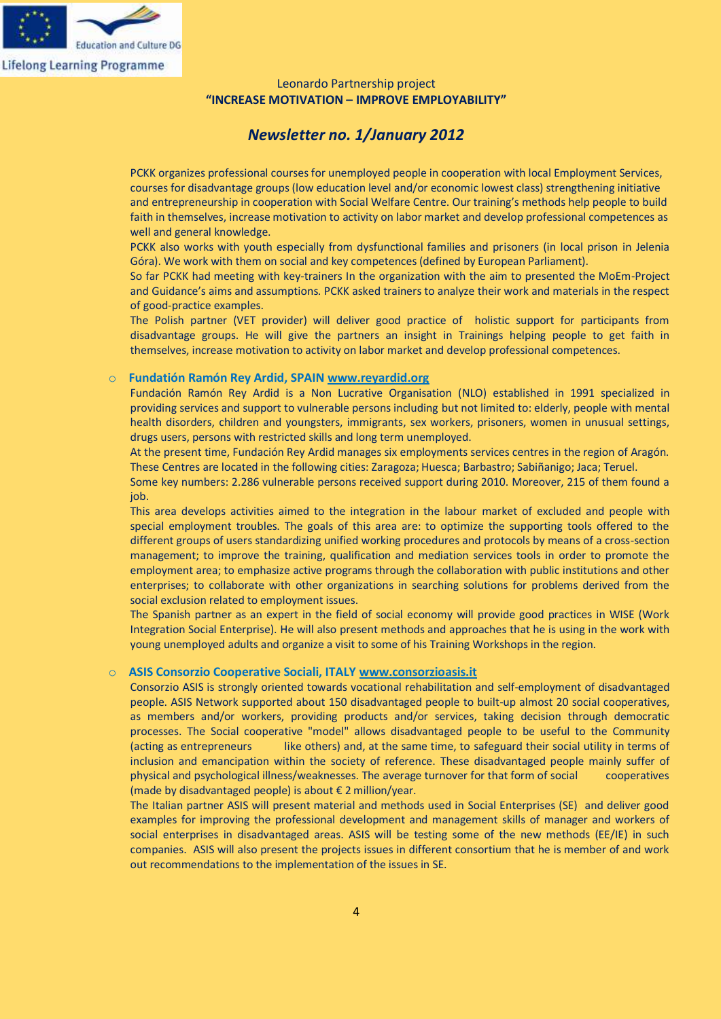

## *Newsletter no. 1/January 2012*

PCKK organizes professional courses for unemployed people in cooperation with local Employment Services, courses for disadvantage groups (low education level and/or economic lowest class) strengthening initiative and entrepreneurship in cooperation with Social Welfare Centre. Our training's methods help people to build faith in themselves, increase motivation to activity on labor market and develop professional competences as well and general knowledge.

PCKK also works with youth especially from dysfunctional families and prisoners (in local prison in Jelenia Góra). We work with them on social and key competences (defined by European Parliament).

So far PCKK had meeting with key-trainers In the organization with the aim to presented the MoEm-Project and Guidance's aims and assumptions. PCKK asked trainers to analyze their work and materials in the respect of good-practice examples.

The Polish partner (VET provider) will deliver good practice of holistic support for participants from disadvantage groups. He will give the partners an insight in Trainings helping people to get faith in themselves, increase motivation to activity on labor market and develop professional competences.

#### o **Fundatión Ramón Rey Ardid, SPAI[N www.reyardid.org](http://www.reyardid.org/)**

Fundación Ramón Rey Ardid is a Non Lucrative Organisation (NLO) established in 1991 specialized in providing services and support to vulnerable persons including but not limited to: elderly, people with mental health disorders, children and youngsters, immigrants, sex workers, prisoners, women in unusual settings, drugs users, persons with restricted skills and long term unemployed.

At the present time, Fundación Rey Ardid manages six employments services centres in the region of Aragón. These Centres are located in the following cities: Zaragoza; Huesca; Barbastro; Sabiñanigo; Jaca; Teruel.

Some key numbers: 2.286 vulnerable persons received support during 2010. Moreover, 215 of them found a job.

This area develops activities aimed to the integration in the labour market of excluded and people with special employment troubles. The goals of this area are: to optimize the supporting tools offered to the different groups of users standardizing unified working procedures and protocols by means of a cross-section management; to improve the training, qualification and mediation services tools in order to promote the employment area; to emphasize active programs through the collaboration with public institutions and other enterprises; to collaborate with other organizations in searching solutions for problems derived from the social exclusion related to employment issues.

The Spanish partner as an expert in the field of social economy will provide good practices in WISE (Work Integration Social Enterprise). He will also present methods and approaches that he is using in the work with young unemployed adults and organize a visit to some of his Training Workshops in the region.

#### o **ASIS Consorzio Cooperative Sociali, ITAL[Y www.consorzioasis.it](http://www.consorzioasis.it/)**

Consorzio ASIS is strongly oriented towards vocational rehabilitation and self-employment of disadvantaged people. ASIS Network supported about 150 disadvantaged people to built-up almost 20 social cooperatives, as members and/or workers, providing products and/or services, taking decision through democratic processes. The Social cooperative "model" allows disadvantaged people to be useful to the Community (acting as entrepreneurs like others) and, at the same time, to safeguard their social utility in terms of inclusion and emancipation within the society of reference. These disadvantaged people mainly suffer of physical and psychological illness/weaknesses. The average turnover for that form of social cooperatives (made by disadvantaged people) is about € 2 million/year.

The Italian partner ASIS will present material and methods used in Social Enterprises (SE) and deliver good examples for improving the professional development and management skills of manager and workers of social enterprises in disadvantaged areas. ASIS will be testing some of the new methods (EE/IE) in such companies. ASIS will also present the projects issues in different consortium that he is member of and work out recommendations to the implementation of the issues in SE.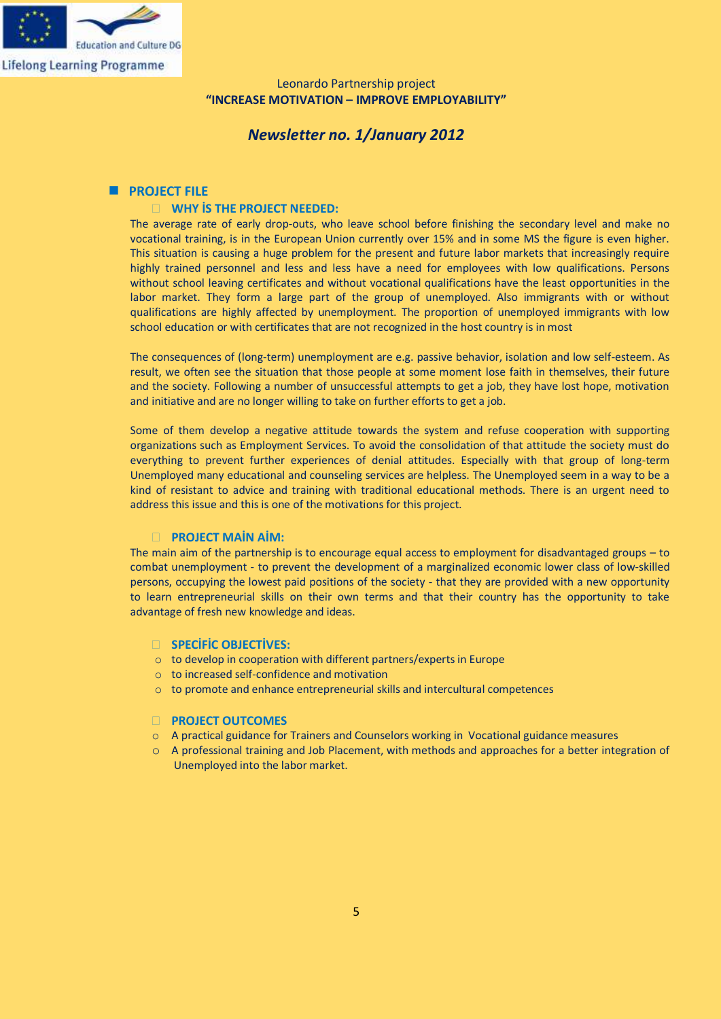

## *Newsletter no. 1/January 2012*

### **PROJECT FILE**

#### **WHY İS THE PROJECT NEEDED:**

The average rate of early drop-outs, who leave school before finishing the secondary level and make no vocational training, is in the European Union currently over 15% and in some MS the figure is even higher. This situation is causing a huge problem for the present and future labor markets that increasingly require highly trained personnel and less and less have a need for employees with low qualifications. Persons without school leaving certificates and without vocational qualifications have the least opportunities in the labor market. They form a large part of the group of unemployed. Also immigrants with or without qualifications are highly affected by unemployment. The proportion of unemployed immigrants with low school education or with certificates that are not recognized in the host country is in most

The consequences of (long-term) unemployment are e.g. passive behavior, isolation and low self-esteem. As result, we often see the situation that those people at some moment lose faith in themselves, their future and the society. Following a number of unsuccessful attempts to get a job, they have lost hope, motivation and initiative and are no longer willing to take on further efforts to get a job.

Some of them develop a negative attitude towards the system and refuse cooperation with supporting organizations such as Employment Services. To avoid the consolidation of that attitude the society must do everything to prevent further experiences of denial attitudes. Especially with that group of long-term Unemployed many educational and counseling services are helpless. The Unemployed seem in a way to be a kind of resistant to advice and training with traditional educational methods. There is an urgent need to address this issue and this is one of the motivations for this project.

#### **PROJECT MAİN AİM:**

The main aim of the partnership is to encourage equal access to employment for disadvantaged groups – to combat unemployment - to prevent the development of a marginalized economic lower class of low-skilled persons, occupying the lowest paid positions of the society - that they are provided with a new opportunity to learn entrepreneurial skills on their own terms and that their country has the opportunity to take advantage of fresh new knowledge and ideas.

#### **SPECİFİC OBJECTİVES:**

- o to develop in cooperation with different partners/experts in Europe
- o to increased self-confidence and motivation
- $\circ$  to promote and enhance entrepreneurial skills and intercultural competences

#### **PROJECT OUTCOMES**

- o A practical guidance for Trainers and Counselors working in Vocational guidance measures
- o A professional training and Job Placement, with methods and approaches for a better integration of Unemployed into the labor market.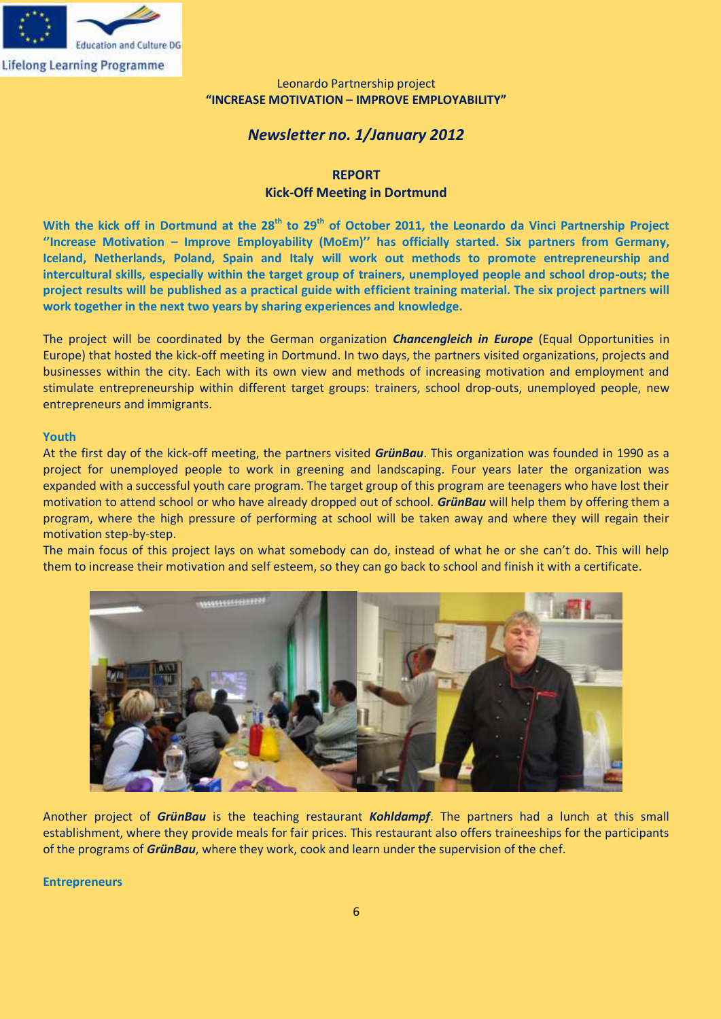

## *Newsletter no. 1/January 2012*

## **REPORT Kick-Off Meeting in Dortmund**

**With the kick off in Dortmund at the 28th to 29th of October 2011, the Leonardo da Vinci Partnership Project ''Increase Motivation – Improve Employability (MoEm)'' has officially started. Six partners from Germany, Iceland, Netherlands, Poland, Spain and Italy will work out methods to promote entrepreneurship and intercultural skills, especially within the target group of trainers, unemployed people and school drop-outs; the project results will be published as a practical guide with efficient training material. The six project partners will work together in the next two years by sharing experiences and knowledge.**

The project will be coordinated by the German organization *Chancengleich in Europe* (Equal Opportunities in Europe) that hosted the kick-off meeting in Dortmund. In two days, the partners visited organizations, projects and businesses within the city. Each with its own view and methods of increasing motivation and employment and stimulate entrepreneurship within different target groups: trainers, school drop-outs, unemployed people, new entrepreneurs and immigrants.

### **Youth**

At the first day of the kick-off meeting, the partners visited *GrünBau*. This organization was founded in 1990 as a project for unemployed people to work in greening and landscaping. Four years later the organization was expanded with a successful youth care program. The target group of this program are teenagers who have lost their motivation to attend school or who have already dropped out of school. *GrünBau* will help them by offering them a program, where the high pressure of performing at school will be taken away and where they will regain their motivation step-by-step.

The main focus of this project lays on what somebody can do, instead of what he or she can't do. This will help them to increase their motivation and self esteem, so they can go back to school and finish it with a certificate.



Another project of *GrünBau* is the teaching restaurant *Kohldampf*. The partners had a lunch at this small establishment, where they provide meals for fair prices. This restaurant also offers traineeships for the participants of the programs of *GrünBau*, where they work, cook and learn under the supervision of the chef.

#### **Entrepreneurs**